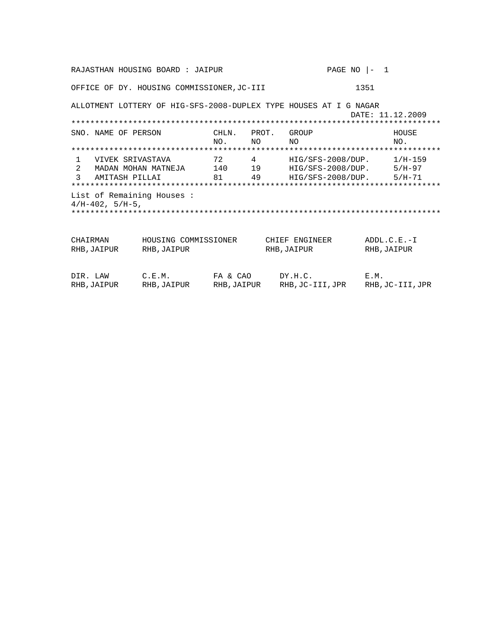| RAJASTHAN HOUSING BOARD : JAIPUR                             |                                                                   |                                    |       |                                                                                       | PAGE NO $ -1$ |                              |  |
|--------------------------------------------------------------|-------------------------------------------------------------------|------------------------------------|-------|---------------------------------------------------------------------------------------|---------------|------------------------------|--|
| OFFICE OF DY. HOUSING COMMISSIONER, JC-III                   |                                                                   |                                    |       | 1351                                                                                  |               |                              |  |
|                                                              | ALLOTMENT LOTTERY OF HIG-SFS-2008-DUPLEX TYPE HOUSES AT I G NAGAR |                                    |       |                                                                                       |               | DATE: 11.12.2009             |  |
| SNO. NAME OF PERSON                                          |                                                                   | CHLN.<br>NO.<br>NO.                | PROT. | GROUP<br>NO.                                                                          |               | HOUSE<br>NO.                 |  |
|                                                              |                                                                   |                                    |       |                                                                                       |               |                              |  |
| $\mathbf{1}$<br>VIVEK SRIVASTAVA<br>2<br>3<br>AMITASH PILLAI | MADAN MOHAN MATNEJA 140 19                                        | 72 — 12<br>$\overline{4}$<br>81 49 |       | $HIG/SFS-2008/DUP.$ 1/H-159<br>$HIG/SFS-2008/DUP.$ 5/H-97<br>HIG/SFS-2008/DUP. 5/H-71 |               |                              |  |
| List of Remaining Houses:<br>$4/H-402$ , $5/H-5$ ,           |                                                                   |                                    |       |                                                                                       |               |                              |  |
|                                                              |                                                                   |                                    |       |                                                                                       |               |                              |  |
| CHAIRMAN<br>RHB, JAIPUR                                      | HOUSING COMMISSIONER<br>RHB, JAIPUR                               |                                    |       | CHIEF ENGINEER<br>RHB, JAIPUR                                                         |               | $ADDL.C.E.-I$<br>RHB, JAIPUR |  |
| DIR. LAW<br>RHB, JAIPUR                                      | C.E.M.<br>RHB, JAIPUR                                             | FA & CAO<br>RHB, JAIPUR            |       | DY.H.C.<br>RHB,JC-III,JPR                                                             | E.M.          | RHB, JC-III, JPR             |  |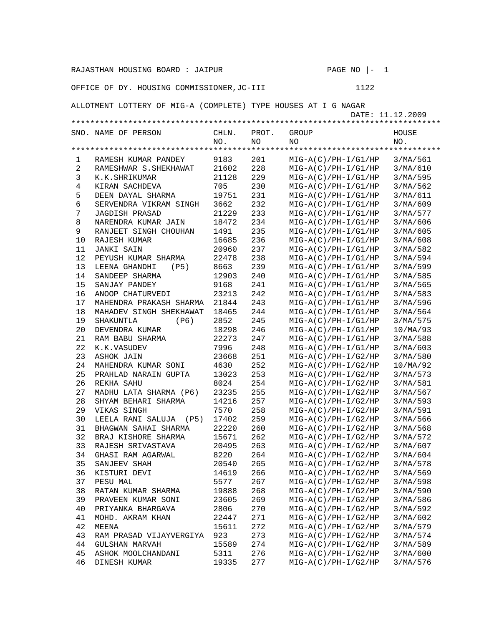| RAJASTHAN HOUSING BOARD : JAIPUR                                                   |                           |       |       | PAGE NO<br>1<br>$\vert -$ |          |  |  |
|------------------------------------------------------------------------------------|---------------------------|-------|-------|---------------------------|----------|--|--|
| 1122<br>OFFICE OF DY. HOUSING COMMISSIONER, JC-III                                 |                           |       |       |                           |          |  |  |
| ALLOTMENT LOTTERY OF MIG-A (COMPLETE) TYPE HOUSES AT I G NAGAR<br>DATE: 11.12.2009 |                           |       |       |                           |          |  |  |
|                                                                                    |                           |       |       |                           |          |  |  |
|                                                                                    | SNO. NAME OF PERSON       | CHLN. | PROT. | GROUP                     | HOUSE    |  |  |
|                                                                                    |                           | NO.   | NO.   | NΟ                        | NO.      |  |  |
|                                                                                    |                           |       |       |                           |          |  |  |
|                                                                                    |                           |       |       |                           |          |  |  |
| 1                                                                                  | RAMESH KUMAR PANDEY       | 9183  | 201   | $MIG-A(C)/PH-I/G1/HP$     | 3/MA/561 |  |  |
| 2                                                                                  | RAMESHWAR S. SHEKHAWAT    | 21602 | 228   | $MIG-A(C)/PH-I/G1/HP$     | 3/MA/610 |  |  |
| 3                                                                                  | K.K.SHRIKUMAR             | 21128 | 229   | $MIG-A(C)/PH-I/G1/HP$     | 3/MA/595 |  |  |
| $\overline{4}$                                                                     | KIRAN SACHDEVA            | 705   | 230   | $MIG-A(C)/PH-I/G1/HP$     | 3/MA/562 |  |  |
| 5                                                                                  | DEEN DAYAL SHARMA         | 19751 | 231   | $MIG-A(C)/PH-I/G1/HP$     | 3/MA/611 |  |  |
| 6                                                                                  | SERVENDRA VIKRAM SINGH    | 3662  | 232   | $MIG-A(C)/PH-I/G1/HP$     | 3/MA/609 |  |  |
| 7                                                                                  | <b>JAGDISH PRASAD</b>     | 21229 | 233   | $MIG-A(C)/PH-I/G1/HP$     | 3/MA/577 |  |  |
| 8                                                                                  | NARENDRA KUMAR JAIN       | 18472 | 234   | $MIG-A(C)/PH-I/G1/HP$     | 3/MA/606 |  |  |
| 9                                                                                  | RANJEET SINGH CHOUHAN     | 1491  | 235   | $MIG-A(C)/PH-I/G1/HP$     | 3/MA/605 |  |  |
| 10                                                                                 | RAJESH KUMAR              | 16685 | 236   | $MIG-A(C)/PH-I/G1/HP$     | 3/MA/608 |  |  |
| 11                                                                                 | <b>JANKI SAIN</b>         | 20960 | 237   | $MIG-A(C)/PH-I/G1/HP$     | 3/MA/582 |  |  |
| 12                                                                                 |                           | 22478 | 238   |                           |          |  |  |
|                                                                                    | PEYUSH KUMAR SHARMA       |       |       | $MIG-A(C)/PH-I/G1/HP$     | 3/MA/594 |  |  |
| 13                                                                                 | LEENA GHANDHI<br>(P5)     | 8663  | 239   | $MIG-A(C)/PH-I/G1/HP$     | 3/MA/599 |  |  |
| 14                                                                                 | SANDEEP SHARMA            | 12903 | 240   | $MIG-A(C)/PH-I/G1/HP$     | 3/MA/585 |  |  |
| 15                                                                                 | SANJAY PANDEY             | 9168  | 241   | $MIG-A(C)/PH-I/G1/HP$     | 3/MA/565 |  |  |
| 16                                                                                 | ANOOP CHATURVEDI          | 23213 | 242   | $MIG-A(C)/PH-I/G1/HP$     | 3/MA/583 |  |  |
| 17                                                                                 | MAHENDRA PRAKASH SHARMA   | 21844 | 243   | $MIG-A(C)/PH-I/G1/HP$     | 3/MA/596 |  |  |
| 18                                                                                 | MAHADEV SINGH SHEKHAWAT   | 18465 | 244   | $MIG-A(C)/PH-I/G1/HP$     | 3/MA/564 |  |  |
| 19                                                                                 | SHAKUNTLA<br>(P6)         | 2852  | 245   | $MIG-A(C)/PH-I/G1/HP$     | 3/MA/575 |  |  |
| 20                                                                                 | DEVENDRA KUMAR            | 18298 | 246   | $MIG-A(C)/PH-I/G1/HP$     | 10/MA/93 |  |  |
| 21                                                                                 | RAM BABU SHARMA           | 22273 | 247   | $MIG-A(C)/PH-I/G1/HP$     | 3/MA/588 |  |  |
| 22                                                                                 | K.K.VASUDEV               | 7996  | 248   | $MIG-A(C)/PH-I/G1/HP$     | 3/MA/603 |  |  |
| 23                                                                                 | ASHOK JAIN                | 23668 | 251   | $MIG-A(C)/PH-I/G2/HP$     | 3/MA/580 |  |  |
| 24                                                                                 | MAHENDRA KUMAR SONI       | 4630  | 252   | $MIG-A(C)/PH-I/G2/HP$     | 10/MA/92 |  |  |
| 25                                                                                 | PRAHLAD NARAIN GUPTA      | 13023 | 253   | $MIG-A(C)/PH-I/G2/HP$     | 3/MA/573 |  |  |
| 26                                                                                 | REKHA SAHU                | 8024  | 254   |                           |          |  |  |
|                                                                                    |                           |       |       | $MIG-A(C)/PH-I/G2/HP$     | 3/MA/581 |  |  |
| 27                                                                                 | MADHU LATA SHARMA (P6)    | 23235 | 255   | $MIG-A(C)/PH-I/G2/HP$     | 3/MA/567 |  |  |
| 28                                                                                 | SHYAM BEHARI SHARMA       | 14216 | 257   | $MIG-A(C)/PH-I/G2/HP$     | 3/MA/593 |  |  |
| 29                                                                                 | VIKAS SINGH               | 7570  | 258   | $MIG-A(C)/PH-I/G2/HP$     | 3/MA/591 |  |  |
| 30                                                                                 | LEELA RANI SALUJA<br>(P5) | 17402 | 259   | $MIG-A(C)/PH-I/G2/HP$     | 3/MA/566 |  |  |
| 31                                                                                 | BHAGWAN SAHAI SHARMA      | 22220 | 260   | $MIG-A(C)/PH-I/G2/HP$     | 3/MA/568 |  |  |
| 32                                                                                 | BRAJ KISHORE SHARMA       | 15671 | 262   | $MIG-A(C)/PH-I/G2/HP$     | 3/MA/572 |  |  |
| 33                                                                                 | RAJESH SRIVASTAVA         | 20495 | 263   | $MIG-A(C)/PH-I/G2/HP$     | 3/MA/607 |  |  |
| 34                                                                                 | GHASI RAM AGARWAL         | 8220  | 264   | $MIG-A(C)/PH-I/G2/HP$     | 3/MA/604 |  |  |
| 35                                                                                 | SANJEEV SHAH              | 20540 | 265   | $MIG-A(C)/PH-I/G2/HP$     | 3/MA/578 |  |  |
| 36                                                                                 | KISTURI DEVI              | 14619 | 266   | $MIG-A(C)/PH-I/G2/HP$     | 3/MA/569 |  |  |
| 37                                                                                 | PESU MAL                  | 5577  | 267   | $MIG-A(C)/PH-I/G2/HP$     | 3/MA/598 |  |  |
| 38                                                                                 | RATAN KUMAR SHARMA        | 19888 | 268   | $MIG-A(C)/PH-I/G2/HP$     | 3/MA/590 |  |  |
| 39                                                                                 | PRAVEEN KUMAR SONI        | 23605 | 269   | $MIG-A(C)/PH-I/G2/HP$     | 3/MA/586 |  |  |
| 40                                                                                 | PRIYANKA BHARGAVA         | 2806  | 270   | $MIG-A(C)/PH-I/G2/HP$     | 3/MA/592 |  |  |
|                                                                                    |                           |       |       |                           |          |  |  |
| 41                                                                                 | MOHD. AKRAM KHAN          | 22447 | 271   | $MIG-A(C)/PH-I/G2/HP$     | 3/MA/602 |  |  |
| 42                                                                                 | MEENA                     | 15611 | 272   | $MIG-A(C)/PH-I/G2/HP$     | 3/MA/579 |  |  |
| 43                                                                                 | RAM PRASAD VIJAYVERGIYA   | 923   | 273   | $MIG-A(C)/PH-I/G2/HP$     | 3/MA/574 |  |  |
| 44                                                                                 | GULSHAN MARVAH            | 15589 | 274   | $MIG-A(C)/PH-I/G2/HP$     | 3/MA/589 |  |  |
| 45                                                                                 | ASHOK MOOLCHANDANI        | 5311  | 276   | $MIG-A(C)/PH-I/G2/HP$     | 3/MA/600 |  |  |
| 46                                                                                 | DINESH KUMAR              | 19335 | 277   | $MIG-A(C)/PH-I/G2/HP$     | 3/MA/576 |  |  |